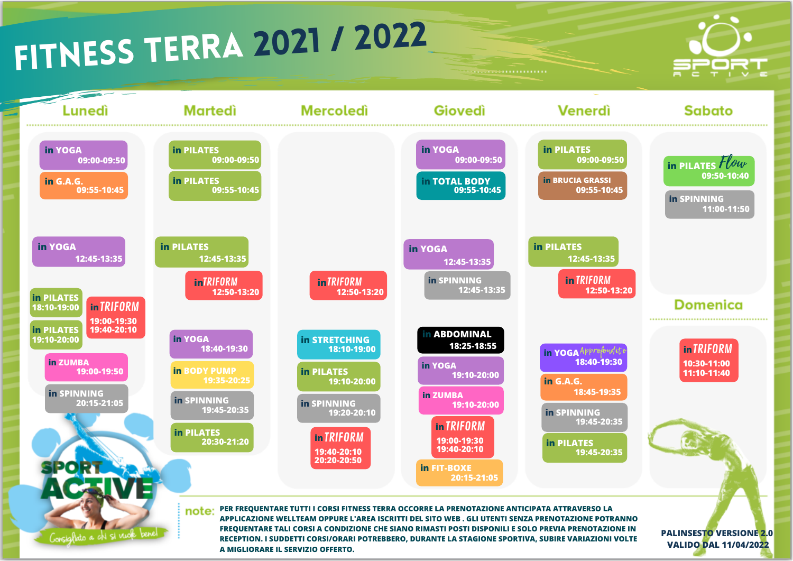## fitness TERRA <sup>2021</sup> / <sup>2022</sup>